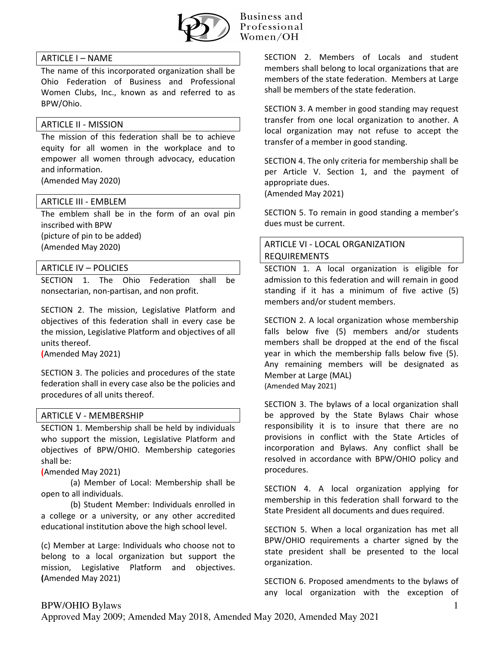

### Business and Professional Women/OH

## ARTICLE I – NAME

The name of this incorporated organization shall be Ohio Federation of Business and Professional Women Clubs, Inc., known as and referred to as BPW/Ohio.

### ARTICLE II - MISSION

The mission of this federation shall be to achieve equity for all women in the workplace and to empower all women through advocacy, education and information.

(Amended May 2020)

## ARTICLE III - EMBLEM

The emblem shall be in the form of an oval pin inscribed with BPW (picture of pin to be added) (Amended May 2020)

## ARTICLE IV – POLICIES

SECTION 1. The Ohio Federation shall be nonsectarian, non-partisan, and non profit.

SECTION 2. The mission, Legislative Platform and objectives of this federation shall in every case be the mission, Legislative Platform and objectives of all units thereof.

**(**Amended May 2021)

SECTION 3. The policies and procedures of the state federation shall in every case also be the policies and procedures of all units thereof.

### ARTICLE V - MEMBERSHIP

SECTION 1. Membership shall be held by individuals who support the mission, Legislative Platform and objectives of BPW/OHIO. Membership categories shall be:

**(**Amended May 2021)

(a) Member of Local: Membership shall be open to all individuals.

(b) Student Member: Individuals enrolled in a college or a university, or any other accredited educational institution above the high school level.

(c) Member at Large: Individuals who choose not to belong to a local organization but support the mission, Legislative Platform and objectives. **(**Amended May 2021)

SECTION 2. Members of Locals and student members shall belong to local organizations that are members of the state federation. Members at Large shall be members of the state federation.

SECTION 3. A member in good standing may request transfer from one local organization to another. A local organization may not refuse to accept the transfer of a member in good standing.

SECTION 4. The only criteria for membership shall be per Article V. Section 1, and the payment of appropriate dues.

(Amended May 2021)

SECTION 5. To remain in good standing a member's dues must be current.

# ARTICLE VI - LOCAL ORGANIZATION REQUIREMENTS

SECTION 1. A local organization is eligible for admission to this federation and will remain in good standing if it has a minimum of five active (5) members and/or student members.

SECTION 2. A local organization whose membership falls below five (5) members and/or students members shall be dropped at the end of the fiscal year in which the membership falls below five (5). Any remaining members will be designated as Member at Large (MAL) (Amended May 2021)

SECTION 3. The bylaws of a local organization shall be approved by the State Bylaws Chair whose responsibility it is to insure that there are no provisions in conflict with the State Articles of incorporation and Bylaws. Any conflict shall be resolved in accordance with BPW/OHIO policy and procedures.

SECTION 4. A local organization applying for membership in this federation shall forward to the State President all documents and dues required.

SECTION 5. When a local organization has met all BPW/OHIO requirements a charter signed by the state president shall be presented to the local organization.

SECTION 6. Proposed amendments to the bylaws of any local organization with the exception of

## BPW/OHIO Bylaws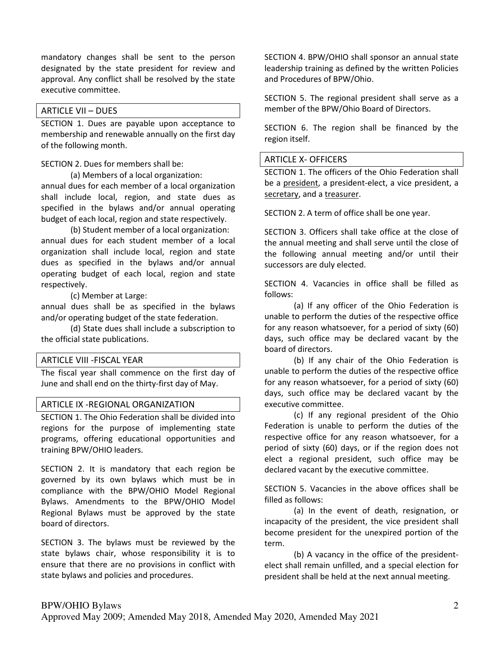mandatory changes shall be sent to the person designated by the state president for review and approval. Any conflict shall be resolved by the state executive committee.

#### ARTICLE VII – DUES

SECTION 1. Dues are payable upon acceptance to membership and renewable annually on the first day of the following month.

#### SECTION 2. Dues for members shall be:

(a) Members of a local organization:

annual dues for each member of a local organization shall include local, region, and state dues as specified in the bylaws and/or annual operating budget of each local, region and state respectively.

(b) Student member of a local organization: annual dues for each student member of a local organization shall include local, region and state dues as specified in the bylaws and/or annual operating budget of each local, region and state respectively.

(c) Member at Large:

annual dues shall be as specified in the bylaws and/or operating budget of the state federation.

(d) State dues shall include a subscription to the official state publications.

#### ARTICLE VIII -FISCAL YEAR

The fiscal year shall commence on the first day of June and shall end on the thirty-first day of May.

#### ARTICLE IX -REGIONAL ORGANIZATION

SECTION 1. The Ohio Federation shall be divided into regions for the purpose of implementing state programs, offering educational opportunities and training BPW/OHIO leaders.

SECTION 2. It is mandatory that each region be governed by its own bylaws which must be in compliance with the BPW/OHIO Model Regional Bylaws. Amendments to the BPW/OHIO Model Regional Bylaws must be approved by the state board of directors.

SECTION 3. The bylaws must be reviewed by the state bylaws chair, whose responsibility it is to ensure that there are no provisions in conflict with state bylaws and policies and procedures.

SECTION 4. BPW/OHIO shall sponsor an annual state leadership training as defined by the written Policies and Procedures of BPW/Ohio.

SECTION 5. The regional president shall serve as a member of the BPW/Ohio Board of Directors.

SECTION 6. The region shall be financed by the region itself.

#### ARTICLE X- OFFICERS

SECTION 1. The officers of the Ohio Federation shall be a president, a president-elect, a vice president, a secretary, and a treasurer.

SECTION 2. A term of office shall be one year.

SECTION 3. Officers shall take office at the close of the annual meeting and shall serve until the close of the following annual meeting and/or until their successors are duly elected.

SECTION 4. Vacancies in office shall be filled as follows:

(a) If any officer of the Ohio Federation is unable to perform the duties of the respective office for any reason whatsoever, for a period of sixty (60) days, such office may be declared vacant by the board of directors.

(b) If any chair of the Ohio Federation is unable to perform the duties of the respective office for any reason whatsoever, for a period of sixty (60) days, such office may be declared vacant by the executive committee.

(c) If any regional president of the Ohio Federation is unable to perform the duties of the respective office for any reason whatsoever, for a period of sixty (60) days, or if the region does not elect a regional president, such office may be declared vacant by the executive committee.

SECTION 5. Vacancies in the above offices shall be filled as follows:

(a) In the event of death, resignation, or incapacity of the president, the vice president shall become president for the unexpired portion of the term.

(b) A vacancy in the office of the presidentelect shall remain unfilled, and a special election for president shall be held at the next annual meeting.

### BPW/OHIO Bylaws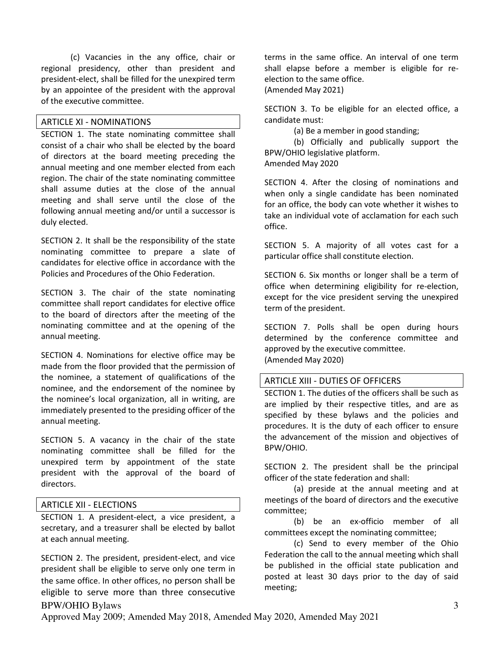(c) Vacancies in the any office, chair or regional presidency, other than president and president-elect, shall be filled for the unexpired term by an appointee of the president with the approval of the executive committee.

## ARTICLE XI - NOMINATIONS

SECTION 1. The state nominating committee shall consist of a chair who shall be elected by the board of directors at the board meeting preceding the annual meeting and one member elected from each region. The chair of the state nominating committee shall assume duties at the close of the annual meeting and shall serve until the close of the following annual meeting and/or until a successor is duly elected.

SECTION 2. It shall be the responsibility of the state nominating committee to prepare a slate of candidates for elective office in accordance with the Policies and Procedures of the Ohio Federation.

SECTION 3. The chair of the state nominating committee shall report candidates for elective office to the board of directors after the meeting of the nominating committee and at the opening of the annual meeting.

SECTION 4. Nominations for elective office may be made from the floor provided that the permission of the nominee, a statement of qualifications of the nominee, and the endorsement of the nominee by the nominee's local organization, all in writing, are immediately presented to the presiding officer of the annual meeting.

SECTION 5. A vacancy in the chair of the state nominating committee shall be filled for the unexpired term by appointment of the state president with the approval of the board of directors.

### ARTICLE XII - ELECTIONS

SECTION 1. A president-elect, a vice president, a secretary, and a treasurer shall be elected by ballot at each annual meeting.

BPW/OHIO Bylaws SECTION 2. The president, president-elect, and vice president shall be eligible to serve only one term in the same office. In other offices, no person shall be eligible to serve more than three consecutive terms in the same office. An interval of one term shall elapse before a member is eligible for reelection to the same office. (Amended May 2021)

SECTION 3. To be eligible for an elected office, a candidate must:

(a) Be a member in good standing;

(b) Officially and publically support the BPW/OHIO legislative platform. Amended May 2020

SECTION 4. After the closing of nominations and when only a single candidate has been nominated for an office, the body can vote whether it wishes to take an individual vote of acclamation for each such office.

SECTION 5. A majority of all votes cast for a particular office shall constitute election.

SECTION 6. Six months or longer shall be a term of office when determining eligibility for re-election, except for the vice president serving the unexpired term of the president.

SECTION 7. Polls shall be open during hours determined by the conference committee and approved by the executive committee. (Amended May 2020)

#### ARTICLE XIII - DUTIES OF OFFICERS

SECTION 1. The duties of the officers shall be such as are implied by their respective titles, and are as specified by these bylaws and the policies and procedures. It is the duty of each officer to ensure the advancement of the mission and objectives of BPW/OHIO.

SECTION 2. The president shall be the principal officer of the state federation and shall:

(a) preside at the annual meeting and at meetings of the board of directors and the executive committee;

(b) be an ex-officio member of all committees except the nominating committee;

(c) Send to every member of the Ohio Federation the call to the annual meeting which shall be published in the official state publication and posted at least 30 days prior to the day of said meeting;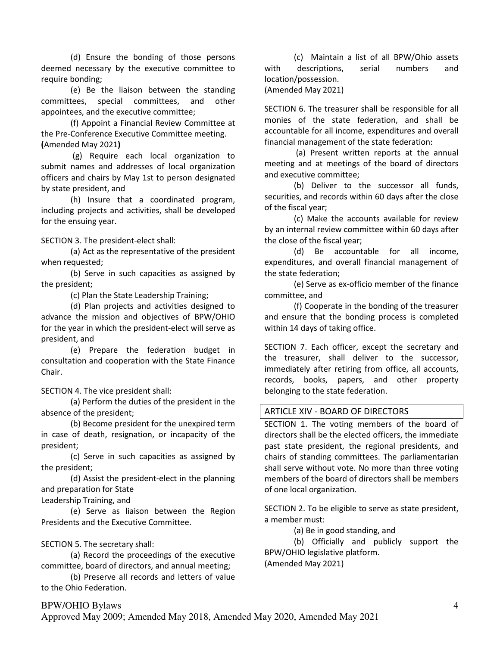(d) Ensure the bonding of those persons deemed necessary by the executive committee to require bonding;

(e) Be the liaison between the standing committees, special committees, and other appointees, and the executive committee;

(f) Appoint a Financial Review Committee at the Pre-Conference Executive Committee meeting. **(**Amended May 2021**)** 

 (g) Require each local organization to submit names and addresses of local organization officers and chairs by May 1st to person designated by state president, and

(h) Insure that a coordinated program, including projects and activities, shall be developed for the ensuing year.

SECTION 3. The president-elect shall:

(a) Act as the representative of the president when requested;

(b) Serve in such capacities as assigned by the president;

(c) Plan the State Leadership Training;

(d) Plan projects and activities designed to advance the mission and objectives of BPW/OHIO for the year in which the president-elect will serve as president, and

(e) Prepare the federation budget in consultation and cooperation with the State Finance Chair.

SECTION 4. The vice president shall:

(a) Perform the duties of the president in the absence of the president;

(b) Become president for the unexpired term in case of death, resignation, or incapacity of the president;

(c) Serve in such capacities as assigned by the president;

(d) Assist the president-elect in the planning and preparation for State

Leadership Training, and

(e) Serve as liaison between the Region Presidents and the Executive Committee.

### SECTION 5. The secretary shall:

(a) Record the proceedings of the executive committee, board of directors, and annual meeting;

(b) Preserve all records and letters of value to the Ohio Federation.

(c) Maintain a list of all BPW/Ohio assets with descriptions, serial numbers and location/possession. (Amended May 2021)

SECTION 6. The treasurer shall be responsible for all monies of the state federation, and shall be accountable for all income, expenditures and overall financial management of the state federation:

 (a) Present written reports at the annual meeting and at meetings of the board of directors and executive committee;

(b) Deliver to the successor all funds, securities, and records within 60 days after the close of the fiscal year;

(c) Make the accounts available for review by an internal review committee within 60 days after the close of the fiscal year;

(d) Be accountable for all income, expenditures, and overall financial management of the state federation;

(e) Serve as ex-officio member of the finance committee, and

(f) Cooperate in the bonding of the treasurer and ensure that the bonding process is completed within 14 days of taking office.

SECTION 7. Each officer, except the secretary and the treasurer, shall deliver to the successor, immediately after retiring from office, all accounts, records, books, papers, and other property belonging to the state federation.

#### ARTICLE XIV - BOARD OF DIRECTORS

SECTION 1. The voting members of the board of directors shall be the elected officers, the immediate past state president, the regional presidents, and chairs of standing committees. The parliamentarian shall serve without vote. No more than three voting members of the board of directors shall be members of one local organization.

SECTION 2. To be eligible to serve as state president, a member must:

(a) Be in good standing, and

(b) Officially and publicly support the BPW/OHIO legislative platform.

(Amended May 2021)

## BPW/OHIO Bylaws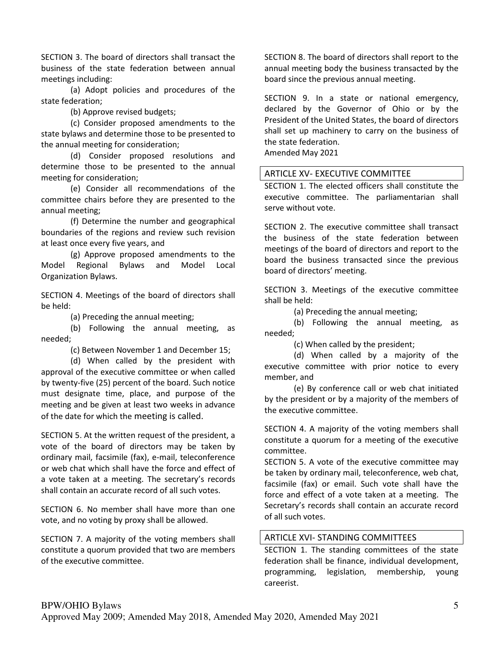SECTION 3. The board of directors shall transact the business of the state federation between annual meetings including:

(a) Adopt policies and procedures of the state federation;

(b) Approve revised budgets;

(c) Consider proposed amendments to the state bylaws and determine those to be presented to the annual meeting for consideration;

(d) Consider proposed resolutions and determine those to be presented to the annual meeting for consideration;

(e) Consider all recommendations of the committee chairs before they are presented to the annual meeting;

(f) Determine the number and geographical boundaries of the regions and review such revision at least once every five years, and

(g) Approve proposed amendments to the Model Regional Bylaws and Model Local Organization Bylaws.

SECTION 4. Meetings of the board of directors shall be held:

(a) Preceding the annual meeting;

(b) Following the annual meeting, as needed;

(c) Between November 1 and December 15;

(d) When called by the president with approval of the executive committee or when called by twenty-five (25) percent of the board. Such notice must designate time, place, and purpose of the meeting and be given at least two weeks in advance of the date for which the meeting is called.

SECTION 5. At the written request of the president, a vote of the board of directors may be taken by ordinary mail, facsimile (fax), e-mail, teleconference or web chat which shall have the force and effect of a vote taken at a meeting. The secretary's records shall contain an accurate record of all such votes.

SECTION 6. No member shall have more than one vote, and no voting by proxy shall be allowed.

SECTION 7. A majority of the voting members shall constitute a quorum provided that two are members of the executive committee.

SECTION 8. The board of directors shall report to the annual meeting body the business transacted by the board since the previous annual meeting.

SECTION 9. In a state or national emergency, declared by the Governor of Ohio or by the President of the United States, the board of directors shall set up machinery to carry on the business of the state federation. Amended May 2021

## ARTICLE XV- EXECUTIVE COMMITTEE

SECTION 1. The elected officers shall constitute the executive committee. The parliamentarian shall serve without vote.

SECTION 2. The executive committee shall transact the business of the state federation between meetings of the board of directors and report to the board the business transacted since the previous board of directors' meeting.

SECTION 3. Meetings of the executive committee shall be held:

(a) Preceding the annual meeting;

(b) Following the annual meeting, as needed;

(c) When called by the president;

(d) When called by a majority of the executive committee with prior notice to every member, and

(e) By conference call or web chat initiated by the president or by a majority of the members of the executive committee.

SECTION 4. A majority of the voting members shall constitute a quorum for a meeting of the executive committee.

SECTION 5. A vote of the executive committee may be taken by ordinary mail, teleconference, web chat, facsimile (fax) or email. Such vote shall have the force and effect of a vote taken at a meeting. The Secretary's records shall contain an accurate record of all such votes.

### ARTICLE XVI- STANDING COMMITTEES

SECTION 1. The standing committees of the state federation shall be finance, individual development, programming, legislation, membership, young careerist.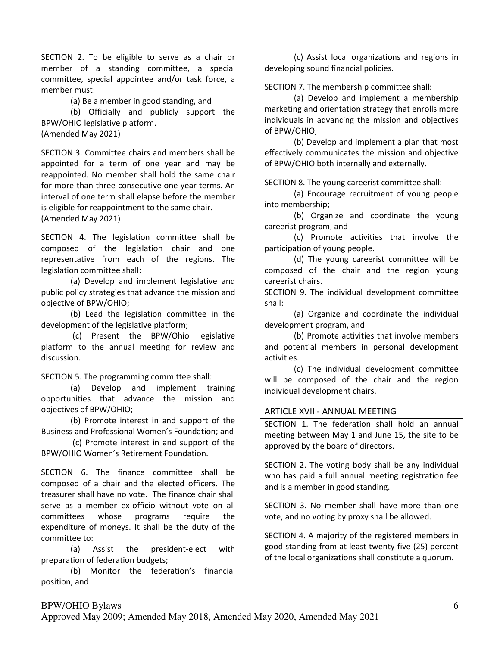SECTION 2. To be eligible to serve as a chair or member of a standing committee, a special committee, special appointee and/or task force, a member must:

(a) Be a member in good standing, and

(b) Officially and publicly support the BPW/OHIO legislative platform.

(Amended May 2021)

SECTION 3. Committee chairs and members shall be appointed for a term of one year and may be reappointed. No member shall hold the same chair for more than three consecutive one year terms. An interval of one term shall elapse before the member is eligible for reappointment to the same chair.

(Amended May 2021)

SECTION 4. The legislation committee shall be composed of the legislation chair and one representative from each of the regions. The legislation committee shall:

(a) Develop and implement legislative and public policy strategies that advance the mission and objective of BPW/OHIO;

(b) Lead the legislation committee in the development of the legislative platform;

 (c) Present the BPW/Ohio legislative platform to the annual meeting for review and discussion.

SECTION 5. The programming committee shall:

(a) Develop and implement training opportunities that advance the mission and objectives of BPW/OHIO;

(b) Promote interest in and support of the Business and Professional Women's Foundation; and

 (c) Promote interest in and support of the BPW/OHIO Women's Retirement Foundation.

SECTION 6. The finance committee shall be composed of a chair and the elected officers. The treasurer shall have no vote. The finance chair shall serve as a member ex-officio without vote on all committees whose programs require the expenditure of moneys. It shall be the duty of the committee to:

(a) Assist the president-elect with preparation of federation budgets;

(b) Monitor the federation's financial position, and

(c) Assist local organizations and regions in developing sound financial policies.

SECTION 7. The membership committee shall:

(a) Develop and implement a membership marketing and orientation strategy that enrolls more individuals in advancing the mission and objectives of BPW/OHIO;

(b) Develop and implement a plan that most effectively communicates the mission and objective of BPW/OHIO both internally and externally.

SECTION 8. The young careerist committee shall:

(a) Encourage recruitment of young people into membership;

(b) Organize and coordinate the young careerist program, and

(c) Promote activities that involve the participation of young people.

(d) The young careerist committee will be composed of the chair and the region young careerist chairs.

SECTION 9. The individual development committee shall:

(a) Organize and coordinate the individual development program, and

(b) Promote activities that involve members and potential members in personal development activities.

(c) The individual development committee will be composed of the chair and the region individual development chairs.

#### ARTICLE XVII - ANNUAL MEETING

SECTION 1. The federation shall hold an annual meeting between May 1 and June 15, the site to be approved by the board of directors.

SECTION 2. The voting body shall be any individual who has paid a full annual meeting registration fee and is a member in good standing.

SECTION 3. No member shall have more than one vote, and no voting by proxy shall be allowed.

SECTION 4. A majority of the registered members in good standing from at least twenty-five (25) percent of the local organizations shall constitute a quorum.

## BPW/OHIO Bylaws Approved May 2009; Amended May 2018, Amended May 2020, Amended May 2021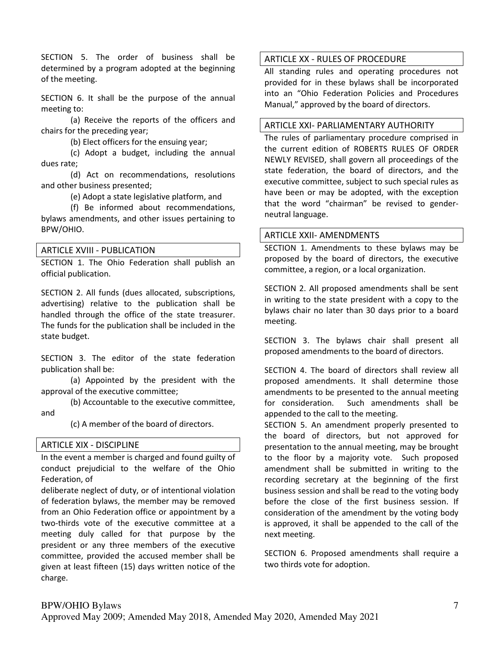SECTION 5. The order of business shall be determined by a program adopted at the beginning of the meeting.

SECTION 6. It shall be the purpose of the annual meeting to:

(a) Receive the reports of the officers and chairs for the preceding year;

(b) Elect officers for the ensuing year;

(c) Adopt a budget, including the annual dues rate;

(d) Act on recommendations, resolutions and other business presented;

(e) Adopt a state legislative platform, and

(f) Be informed about recommendations, bylaws amendments, and other issues pertaining to BPW/OHIO.

#### ARTICLE XVIII - PUBLICATION

SECTION 1. The Ohio Federation shall publish an official publication.

SECTION 2. All funds (dues allocated, subscriptions, advertising) relative to the publication shall be handled through the office of the state treasurer. The funds for the publication shall be included in the state budget.

SECTION 3. The editor of the state federation publication shall be:

(a) Appointed by the president with the approval of the executive committee;

(b) Accountable to the executive committee, and

(c) A member of the board of directors.

### ARTICLE XIX - DISCIPLINE

In the event a member is charged and found guilty of conduct prejudicial to the welfare of the Ohio Federation, of

deliberate neglect of duty, or of intentional violation of federation bylaws, the member may be removed from an Ohio Federation office or appointment by a two-thirds vote of the executive committee at a meeting duly called for that purpose by the president or any three members of the executive committee, provided the accused member shall be given at least fifteen (15) days written notice of the charge.

#### ARTICLE XX - RULES OF PROCEDURE

All standing rules and operating procedures not provided for in these bylaws shall be incorporated into an "Ohio Federation Policies and Procedures Manual," approved by the board of directors.

#### ARTICLE XXI- PARLIAMENTARY AUTHORITY

The rules of parliamentary procedure comprised in the current edition of ROBERTS RULES OF ORDER NEWLY REVISED, shall govern all proceedings of the state federation, the board of directors, and the executive committee, subject to such special rules as have been or may be adopted, with the exception that the word "chairman" be revised to genderneutral language.

#### ARTICLE XXII- AMENDMENTS

SECTION 1. Amendments to these bylaws may be proposed by the board of directors, the executive committee, a region, or a local organization.

SECTION 2. All proposed amendments shall be sent in writing to the state president with a copy to the bylaws chair no later than 30 days prior to a board meeting.

SECTION 3. The bylaws chair shall present all proposed amendments to the board of directors.

SECTION 4. The board of directors shall review all proposed amendments. It shall determine those amendments to be presented to the annual meeting for consideration. Such amendments shall be appended to the call to the meeting.

SECTION 5. An amendment properly presented to the board of directors, but not approved for presentation to the annual meeting, may be brought to the floor by a majority vote. Such proposed amendment shall be submitted in writing to the recording secretary at the beginning of the first business session and shall be read to the voting body before the close of the first business session. If consideration of the amendment by the voting body is approved, it shall be appended to the call of the next meeting.

SECTION 6. Proposed amendments shall require a two thirds vote for adoption.

# BPW/OHIO Bylaws